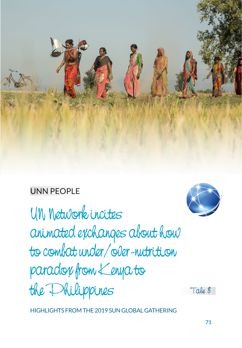

## UNN PEOPLE

UN Network incites animated exchanges about how to combat under/over-nutrition paradox from Kenya to the Philippines

Tale 8

HIGHLIGHTS FROM THE 2019 SUN GLOBAL GATHERING

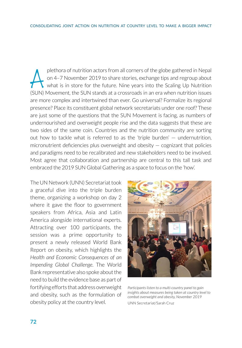plethora of nutrition actors from all corners of the globe gathered in Nepal<br>on 4–7 November 2019 to share stories, exchange tips and regroup about<br>what is in store for the future. Nine years into the Scaling Up Nutrition<br> on 4–7 November 2019 to share stories, exchange tips and regroup about what is in store for the future. Nine years into the Scaling Up Nutrition (SUN) Movement, the SUN stands at a crossroads in an era when nutrition issues are more complex and intertwined than ever. Go universal? Formalize its regional presence? Place its constituent global network secretariats under one roof? These are just some of the questions that the SUN Movement is facing, as numbers of undernourished and overweight people rise and the data suggests that these are two sides of the same coin. Countries and the nutrition community are sorting out how to tackle what is referred to as the 'triple burden' — undernutrition, micronutrient deficiencies plus overweight and obesity  $-$  cognizant that policies and paradigms need to be recalibrated and new stakeholders need to be involved. Most agree that collaboration and partnership are central to this tall task and embraced the 2019 SUN Global Gathering as a space to focus on the 'how'.

The UN Network (UNN) Secretariat took a graceful dive into the triple burden theme, organizing a workshop on day 2 where it gave the floor to government speakers from Africa, Asia and Latin America alongside international experts. Attracting over 100 participants, the session was a prime opportunity to present a newly released World Bank Report on obesity, which highlights the *Health and Economic Consequences of an Impending Global Challenge*. The World Bank representative also spoke about the need to build the evidence base as part of fortifying efforts that address overweight and obesity, such as the formulation of obesity policy at the country level.



*Participants listen to a multi-country panel to gain insights about measures being taken at country level to combat overweight and obesity, November 2019*  UNN Secretariat/Sarah Cruz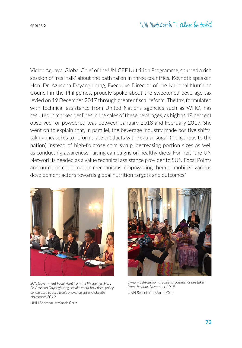Victor Aguayo, Global Chief of the UNICEF Nutrition Programme, spurred a rich session of 'real talk' about the path taken in three countries. Keynote speaker, Hon. Dr. Azucena Dayanghirang, Executive Director of the National Nutrition Council in the Philippines, proudly spoke about the [sweetened beverage](https://www.who.int/bulletin/volumes/97/2/18-220459.pdf) tax levied on 19 December 2017 through greater fiscal reform. The tax, formulated with technical assistance from United Nations agencies such as WHO, has resulted in marked declines in the sales of these beverages, as high as 18 percent observed for powdered teas between January 2018 and February 2019. She went on to explain that, in parallel, the beverage industry made positive shifts, taking measures to reformulate products with regular sugar (indigenous to the nation) instead of high-fructose corn syrup, decreasing portion sizes as well as conducting awareness-raising campaigns on healthy diets. For her, "the UN Network is needed as a value technical assistance provider to SUN Focal Points and nutrition coordination mechanisms, empowering them to mobilize various development actors towards global nutrition targets and outcomes."



*SUN Government Focal Point from the Philippines, Hon. Dr. Azucena Dayanghirang, speaks about how fiscal policy can be used to curb levels of overweight and obesity, November 2019*

UNN Secretariat/Sarah Cruz



*Dynamic discussion unfolds as comments are taken from the floor, November 2019* UNN Secretariat/Sarah Cruz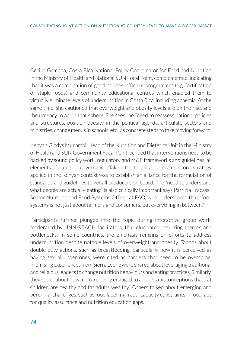Cecilia Gamboa, Costa Rica National Policy Coordinator for Food and Nutrition in the Ministry of Health and National SUN Focal Point, complemented, indicating that it was a combination of good policies, efficient programmes (e.g. fortification of staple foods) and community educational centres which enabled them to virtually eliminate levels of undernutrition in Costa Rica, including anaemia. At the same time, she cautioned that overweight and obesity levels are on the rise, and the urgency to act in that sphere. She sees the "need to reassess national policies and structures, position obesity in the political agenda, articulate sectors and ministries, change menus in schools, etc." as concrete steps to take moving forward.

Kenya's Gladys Mugambi, Head of the Nutrition and Dietetics Unit in the Ministry of Health and SUN Government Focal Point, echoed that interventions need to be backed by sound policy work, regulatory and M&E frameworks and guidelines, all elements of nutrition governance. Taking the fortification example, one strategy applied in the Kenyan context was to establish an alliance for the formulation of standards and guidelines to get all producers on board. The "need to understand what people are actually eating" is also critically important says Patrizia Fracassi, Senior Nutrition and Food Systems Officer at FAO, who underscored that "food systems is not just about farmers and consumers, but everything in between."

Participants further plunged into the topic during interactive group work, moderated by UNN-REACH facilitators, that elucidated recurring themes and bottlenecks. In some countries, the emphasis remains on efforts to address undernutrition despite notable levels of overweight and obesity. Taboos about double-duty actions, such as breastfeeding, particularly how it is perceived as having sexual undertones, were cited as barriers that need to be overcome. Promising experiences from Sierra Leone were shared about leveraging traditional and religious leaders to change nutrition behaviours and eating practices. Similarly, they spoke about how men are being engaged to address misconceptions that 'fat children are healthy and fat adults wealthy'. Others talked about emerging and perennial challenges, such as food labelling fraud, capacity constraints in food labs for quality assurance and nutrition education gaps.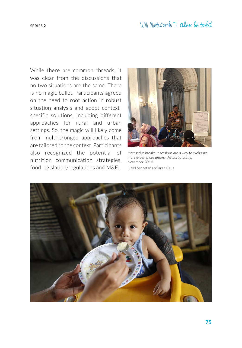While there are common threads, it was clear from the discussions that no two situations are the same. There is no magic bullet. Participants agreed on the need to root action in robust situation analysis and adopt contextspecific solutions, including different approaches for rural and urban settings. So, the magic will likely come from multi-pronged approaches that are tailored to the context. Participants also recognized the potential of nutrition communication strategies, food legislation/regulations and M&E.



*Interactive breakout sessions are a way to exchange more experiences among the participants, November 2019*

UNN Secretariat/Sarah Cruz